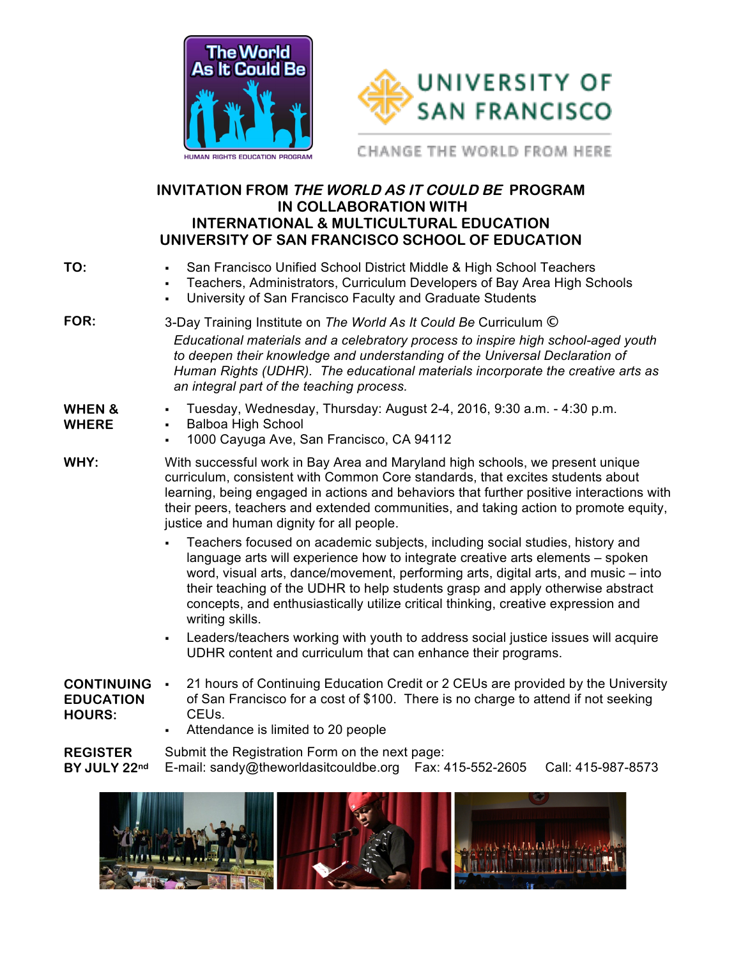



CHANGE THE WORLD FROM HERE

## **INVITATION FROM THE WORLD AS IT COULD BE PROGRAM IN COLLABORATION WITH INTERNATIONAL & MULTICULTURAL EDUCATION UNIVERSITY OF SAN FRANCISCO SCHOOL OF EDUCATION**

| TO:                                                    | San Francisco Unified School District Middle & High School Teachers<br>Teachers, Administrators, Curriculum Developers of Bay Area High Schools<br>٠.<br>University of San Francisco Faculty and Graduate Students<br>٠.                                                                                                                                                                                                                       |  |  |
|--------------------------------------------------------|------------------------------------------------------------------------------------------------------------------------------------------------------------------------------------------------------------------------------------------------------------------------------------------------------------------------------------------------------------------------------------------------------------------------------------------------|--|--|
| FOR:                                                   | 3-Day Training Institute on The World As It Could Be Curriculum ©<br>Educational materials and a celebratory process to inspire high school-aged youth<br>to deepen their knowledge and understanding of the Universal Declaration of<br>Human Rights (UDHR). The educational materials incorporate the creative arts as<br>an integral part of the teaching process.                                                                          |  |  |
| <b>WHEN &amp;</b><br><b>WHERE</b>                      | Tuesday, Wednesday, Thursday: August 2-4, 2016, 9:30 a.m. - 4:30 p.m.<br><b>Balboa High School</b><br>٠,<br>1000 Cayuga Ave, San Francisco, CA 94112                                                                                                                                                                                                                                                                                           |  |  |
| WHY:                                                   | With successful work in Bay Area and Maryland high schools, we present unique<br>curriculum, consistent with Common Core standards, that excites students about<br>learning, being engaged in actions and behaviors that further positive interactions with<br>their peers, teachers and extended communities, and taking action to promote equity,<br>justice and human dignity for all people.                                               |  |  |
|                                                        | Teachers focused on academic subjects, including social studies, history and<br>language arts will experience how to integrate creative arts elements - spoken<br>word, visual arts, dance/movement, performing arts, digital arts, and music – into<br>their teaching of the UDHR to help students grasp and apply otherwise abstract<br>concepts, and enthusiastically utilize critical thinking, creative expression and<br>writing skills. |  |  |
|                                                        | Leaders/teachers working with youth to address social justice issues will acquire<br>$\blacksquare$<br>UDHR content and curriculum that can enhance their programs.                                                                                                                                                                                                                                                                            |  |  |
| <b>CONTINUING</b><br><b>EDUCATION</b><br><b>HOURS:</b> | 21 hours of Continuing Education Credit or 2 CEUs are provided by the University<br>$\blacksquare$<br>of San Francisco for a cost of \$100. There is no charge to attend if not seeking<br>CEU <sub>s.</sub><br>Attendance is limited to 20 people                                                                                                                                                                                             |  |  |

**REGISTER BY JULY 22nd** Submit the Registration Form on the next page: E-mail: sandy@theworldasitcouldbe.org Fax: 415-552-2605 Call: 415-987-8573